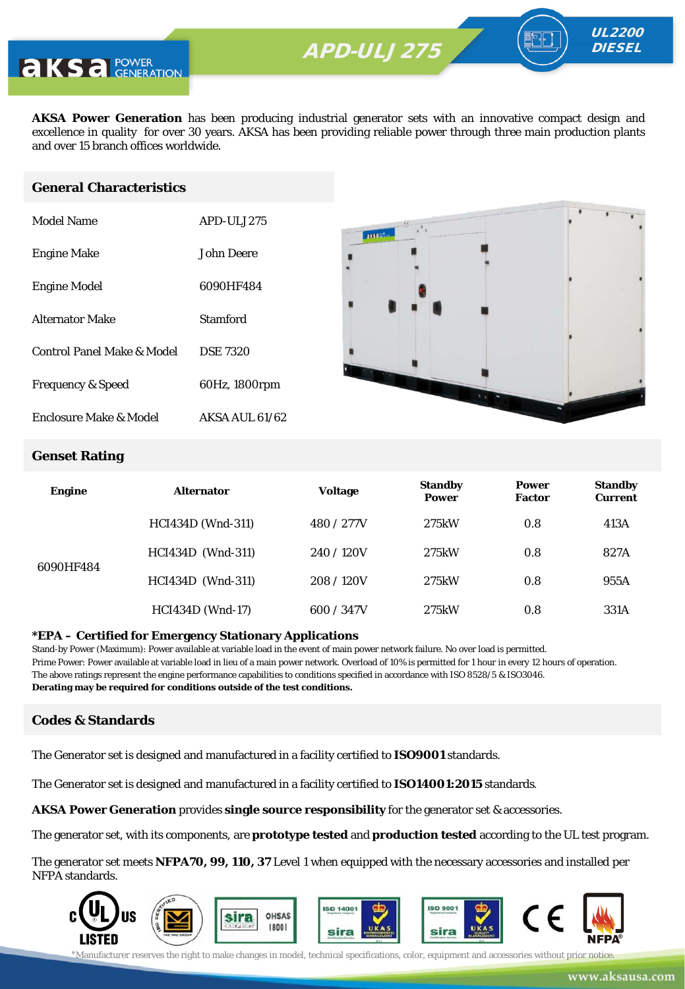**AKSA Power Generation** has been producing industrial generator sets with an innovative compact design and excellence in quality for over 30 years. AKSA has been providing reliable power through three main production plants and over 15 branch offices worldwide.

#### **General Characteristics**

| Model Name                   | APD-ULJ275       |
|------------------------------|------------------|
| <b>Engine Make</b>           | John Deere       |
| <b>Engine Model</b>          | 6090HF484        |
| Alternator Make              | Stamford         |
| Control Panel Make & Model   | <b>DSE 7320</b>  |
| <b>Frequency &amp; Speed</b> | 60Hz, 1800rpm    |
| Enclosure Make & Model       | $AKSA$ AUL 61/62 |



UL2200 **DIESEL** 

#### **Genset Rating**

| <b>Engine</b> | <b>Alternator</b>        | <b>Voltage</b> | <b>Standby</b><br><b>Power</b> | <b>Power</b><br><b>Factor</b> | <b>Standby</b><br><b>Current</b> |
|---------------|--------------------------|----------------|--------------------------------|-------------------------------|----------------------------------|
|               | <b>HCI434D</b> (Wnd-311) | 480 / 277V     | 275kW                          | 0.8                           | 413A                             |
| 6090HF484     | <b>HCI434D</b> (Wnd-311) | 240/120V       | 275kW                          | 0.8                           | 827A                             |
|               | HCI434D (Wnd-311)        | 208/120V       | 275kW                          | 0.8                           | 955A                             |
|               | <b>HCI434D</b> (Wnd-17)  | 600 / 347V     | 275kW                          | 0.8                           | 331A                             |

#### **\*EPA – Certified for Emergency Stationary Applications**

Stand-by Power (Maximum): Power available at variable load in the event of main power network failure. No over load is permitted. Prime Power: Power available at variable load in lieu of a main power network. Overload of 10% is permitted for 1 hour in every 12 hours of operation. The above ratings represent the engine performance capabilities to conditions specified in accordance with ISO 8528/5 & ISO3046. **Derating may be required for conditions outside of the test conditions.**

#### **Codes & Standards**

The Generator set is designed and manufactured in a facility certified to **ISO9001** standards.

The Generator set is designed and manufactured in a facility certified to **ISO14001:2015** standards.

**AKSA Power Generation** provides **single source responsibility** for the generator set & accessories.

The generator set, with its components, are **prototype tested** and **production tested** according to the UL test program.

The generator set meets **NFPA70, 99, 110, 37** Level 1 when equipped with the necessary accessories and installed per NFPA standards.



\*Manufacturer reserves the right to make changes in model, technical specifications, color, equipment and accessories without prior notice.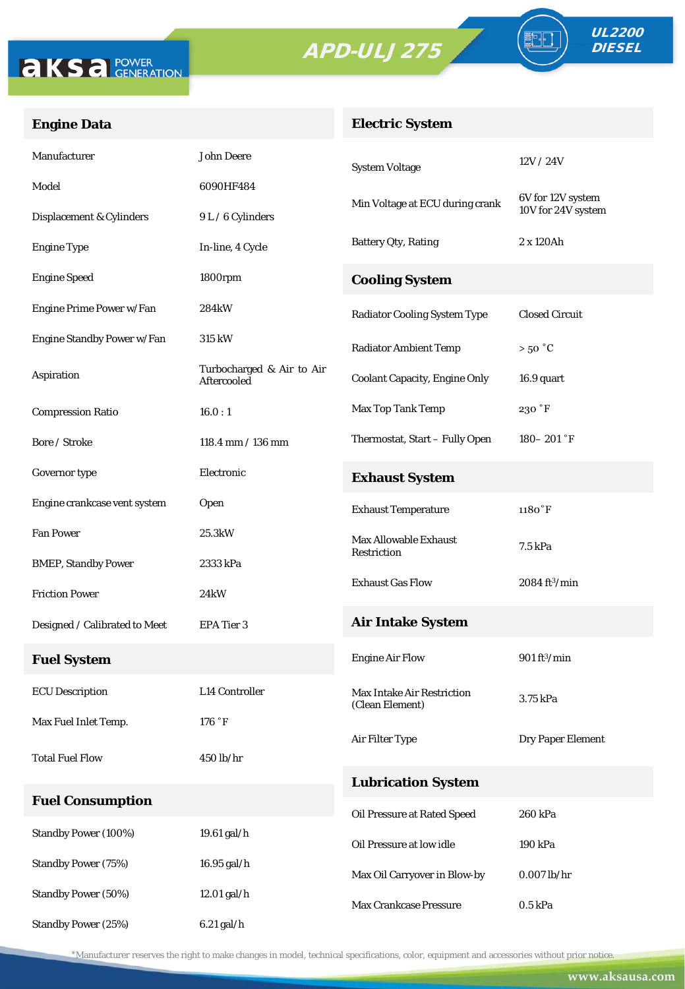



FO

## **Engine Data**

## **Electric System**

| Manufacturer                  | <b>John Deere</b>                        | <b>System Voltage</b>                                | 12V/24V                        |  |
|-------------------------------|------------------------------------------|------------------------------------------------------|--------------------------------|--|
| Model                         | 6090HF484                                |                                                      | 6V for 12V system              |  |
| Displacement & Cylinders      | 9 L / 6 Cylinders                        | Min Voltage at ECU during crank                      | 10V for 24V system             |  |
| <b>Engine Type</b>            | In-line, 4 Cycle                         | Battery Qty, Rating                                  | 2 x 120Ah                      |  |
| <b>Engine Speed</b>           | 1800rpm                                  | <b>Cooling System</b>                                |                                |  |
| Engine Prime Power w/Fan      | 284 <sub>k</sub> W                       | <b>Radiator Cooling System Type</b>                  | <b>Closed Circuit</b>          |  |
| Engine Standby Power w/Fan    | <b>315 kW</b>                            | <b>Radiator Ambient Temp</b>                         | $>50\degree C$                 |  |
| Aspiration                    | Turbocharged & Air to Air<br>Aftercooled | <b>Coolant Capacity, Engine Only</b>                 | 16.9 quart                     |  |
| <b>Compression Ratio</b>      | 16.0:1                                   | Max Top Tank Temp                                    | $230\,\mathrm{\,°F}$           |  |
| Bore / Stroke                 | $118.4$ mm $/ 136$ mm                    | Thermostat, Start - Fully Open                       | $180 - 201$ °F                 |  |
| Governor type                 | Electronic                               | <b>Exhaust System</b>                                |                                |  |
| Engine crankcase vent system  | Open                                     | <b>Exhaust Temperature</b>                           | $1180°$ F                      |  |
| <b>Fan Power</b>              | 25.3kW                                   | <b>Max Allowable Exhaust</b>                         | 7.5 kPa                        |  |
| <b>BMEP, Standby Power</b>    | 2333 kPa                                 | Restriction                                          |                                |  |
| <b>Friction Power</b>         | 24 <sub>k</sub> W                        | <b>Exhaust Gas Flow</b>                              | $2084 \text{ ft}^3/\text{min}$ |  |
| Designed / Calibrated to Meet | EPA Tier 3                               | <b>Air Intake System</b>                             |                                |  |
| <b>Fuel System</b>            |                                          | <b>Engine Air Flow</b>                               | $901 \text{ ft}^3/\text{min}$  |  |
| <b>ECU</b> Description        | L14 Controller                           | <b>Max Intake Air Restriction</b><br>(Clean Element) | 3.75 kPa                       |  |
| Max Fuel Inlet Temp.          | $176~^\circ\mathrm{F}$                   |                                                      |                                |  |
| <b>Total Fuel Flow</b>        | 450 lb/hr                                | Air Filter Type                                      | Dry Paper Element              |  |
|                               |                                          | <b>Lubrication System</b>                            |                                |  |
| <b>Fuel Consumption</b>       |                                          | Oil Pressure at Rated Speed                          | 260 kPa                        |  |
| Standby Power (100%)          | 19.61 gal/h                              | Oil Pressure at low idle                             | 190 kPa                        |  |
| <b>Standby Power (75%)</b>    | 16.95 gal/h                              | Max Oil Carryover in Blow-by                         | $0.007$ lb/hr                  |  |
| <b>Standby Power (50%)</b>    | 12.01 gal/h                              | Max Crankcase Pressure                               | $0.5$ kPa                      |  |
| Standby Power (25%)           | $6.21$ gal/h                             |                                                      |                                |  |

\*Manufacturer reserves the right to make changes in model, technical specifications, color, equipment and accessories without prior notice.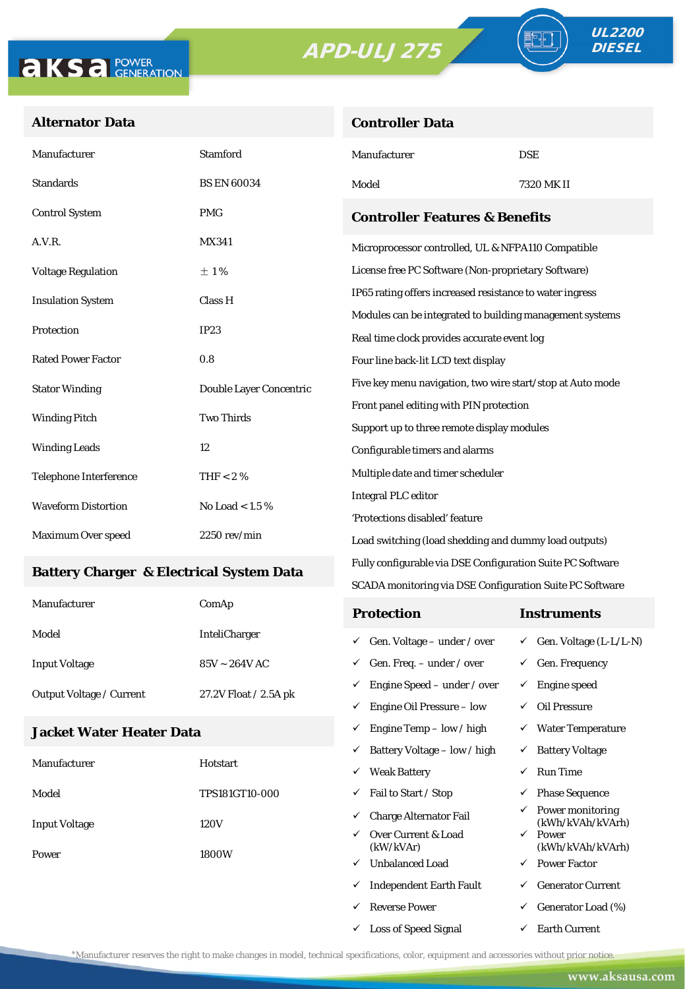**Controller Data**





ªŀ

### **Alternator Data**

| Manufacturer                                    | <b>Stamford</b>         | Manufacturer                                                                                                    | <b>DSE</b> |  |
|-------------------------------------------------|-------------------------|-----------------------------------------------------------------------------------------------------------------|------------|--|
| <b>Standards</b>                                | <b>BS EN 60034</b>      | Model                                                                                                           | 7320 MK II |  |
| <b>Control System</b>                           | <b>PMG</b>              | <b>Controller Features &amp; Benefits</b>                                                                       |            |  |
| A.V.R.                                          | <b>MX341</b>            | Microprocessor controlled, UL & NFPA110 Compatible                                                              |            |  |
| <b>Voltage Regulation</b>                       | ±1%                     | License free PC Software (Non-proprietary Software)<br>IP65 rating offers increased resistance to water ingress |            |  |
| <b>Insulation System</b>                        | Class H                 |                                                                                                                 |            |  |
| Protection                                      | IP23                    | Modules can be integrated to building management systems                                                        |            |  |
|                                                 |                         | Real time clock provides accurate event log                                                                     |            |  |
| <b>Rated Power Factor</b>                       | 0.8                     | Four line back-lit LCD text display                                                                             |            |  |
| <b>Stator Winding</b>                           | Double Layer Concentric | Five key menu navigation, two wire start/stop at Auto mode                                                      |            |  |
| <b>Two Thirds</b><br><b>Winding Pitch</b>       |                         | Front panel editing with PIN protection                                                                         |            |  |
|                                                 |                         | Support up to three remote display modules                                                                      |            |  |
| <b>Winding Leads</b>                            | 12                      | Configurable timers and alarms                                                                                  |            |  |
| Telephone Interference                          | THF < 2 $%$             | Multiple date and timer scheduler                                                                               |            |  |
| <b>Waveform Distortion</b><br>No Load < $1.5\%$ |                         | <b>Integral PLC editor</b>                                                                                      |            |  |
|                                                 |                         | 'Protections disabled' feature                                                                                  |            |  |
| Maximum Over speed                              | $2250$ rev/min $\,$     | Load switching (load shedding and dummy load outputs)                                                           |            |  |

#### **Battery Charger & Electrical System Data**

| Manufacturer                    | ComAp                 | <b>Protection</b>                        | Instruments                         |
|---------------------------------|-----------------------|------------------------------------------|-------------------------------------|
| Model                           | <b>InteliCharger</b>  | $\checkmark$ Gen. Voltage – under / over | $\checkmark$ Gen. Voltage (L-L/L-N) |
| <b>Input Voltage</b>            | $85V \sim 264V$ AC    | $\checkmark$ Gen. Freq. – under / over   | $\checkmark$ Gen. Frequency         |
| <b>Output Voltage / Current</b> | 27.2V Float / 2.5A pk | $\checkmark$ Engine Speed – under / over | Engine speed                        |
|                                 |                       | Engine Oil Pressure – low<br>✓           | Oil Pressure                        |

Fully configurable via DSE Configuration Suite PC Software SCADA monitoring via DSE Configuration Suite PC Software

 $\checkmark$  Engine Temp – low / high  $\checkmark$  Water Temperature

 $\checkmark$  Loss of Speed Signal  $\checkmark$  Earth Current

#### **Jacket Water Heater Data**

|                               |                              | ✓ | Battery Voltage – low / high     |              | <b>Battery Voltage</b>               |
|-------------------------------|------------------------------|---|----------------------------------|--------------|--------------------------------------|
| Manufacturer                  | Hotstart                     | ✓ | <b>Weak Battery</b>              | ✓            | <b>Run Time</b>                      |
| Model                         | <b>TPS181GT10-000</b>        | ✓ | Fail to Start / Stop             | $\checkmark$ | <b>Phase Sequence</b>                |
| <b>Input Voltage</b><br>Power | ✓<br>120V<br>✓<br>1800W<br>✓ |   | <b>Charge Alternator Fail</b>    | $\checkmark$ | Power monitoring<br>(kWh/kVAh/kVArh) |
|                               |                              |   | Over Current & Load<br>(kW/kVAr) | $\checkmark$ | Power<br>(kWh/kVAh/kVArh)            |
|                               |                              |   | <b>Unbalanced Load</b>           | $\checkmark$ | <b>Power Factor</b>                  |
|                               |                              | ✓ | <b>Independent Earth Fault</b>   | ✓            | <b>Generator Current</b>             |
|                               |                              | ✓ | Reverse Power                    |              | Generator Load (%)                   |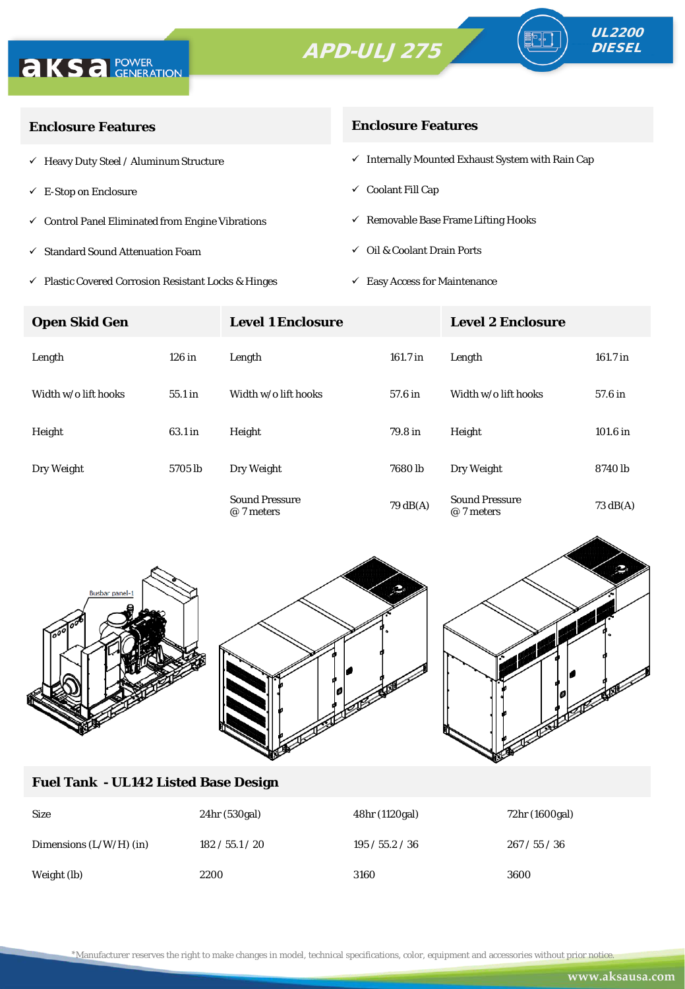



| <b>Enclosure Features</b>                                    | <b>Enclosure Features</b>                                    |  |  |
|--------------------------------------------------------------|--------------------------------------------------------------|--|--|
| $\checkmark$ Heavy Duty Steel / Aluminum Structure           | $\checkmark$ Internally Mounted Exhaust System with Rain Cap |  |  |
| $\checkmark$ E-Stop on Enclosure                             | $\checkmark$ Coolant Fill Cap                                |  |  |
| $\checkmark$ Control Panel Eliminated from Engine Vibrations | $\checkmark$ Removable Base Frame Lifting Hooks              |  |  |
| $\checkmark$ Standard Sound Attenuation Foam                 | $\checkmark$ Oil & Coolant Drain Ports                       |  |  |
|                                                              |                                                              |  |  |

- $\checkmark$ Plastic Covered Corrosion Resistant Locks & Hinges
- $\checkmark~$  Easy Access for Maintenance

| <b>Open Skid Gen</b> |           | <b>Level 1 Enclosure</b>            |                    | <b>Level 2 Enclosure</b>            |                    |
|----------------------|-----------|-------------------------------------|--------------------|-------------------------------------|--------------------|
| Length               | $126$ in  | Length                              | 161.7 in           | Length                              | 161.7 in           |
| Width w/o lift hooks | $55.1$ in | Width w/o lift hooks                | 57.6 in            | Width w/o lift hooks                | 57.6 in            |
| Height               | 63.1 in   | Height                              | 79.8 in            | Height                              | 101.6 in           |
| Dry Weight           | 5705 lb   | Dry Weight                          | 7680 <sub>lb</sub> | Dry Weight                          | 8740 lb            |
|                      |           | <b>Sound Pressure</b><br>@ 7 meters | $79 \text{ dB}(A)$ | <b>Sound Pressure</b><br>@ 7 meters | $73 \text{ dB}(A)$ |



#### **Fuel Tank - UL142 Listed Base Design**

| <b>Size</b>               | 24hr (530gal)   | 48hr (1120gal)  | 72hr (1600gal) |
|---------------------------|-----------------|-----------------|----------------|
| Dimensions $(L/W/H)$ (in) | 182 / 55.1 / 20 | 195 / 55.2 / 36 | 267/55/36      |
| Weight (lb)               | 2200            | 3160            | 3600           |